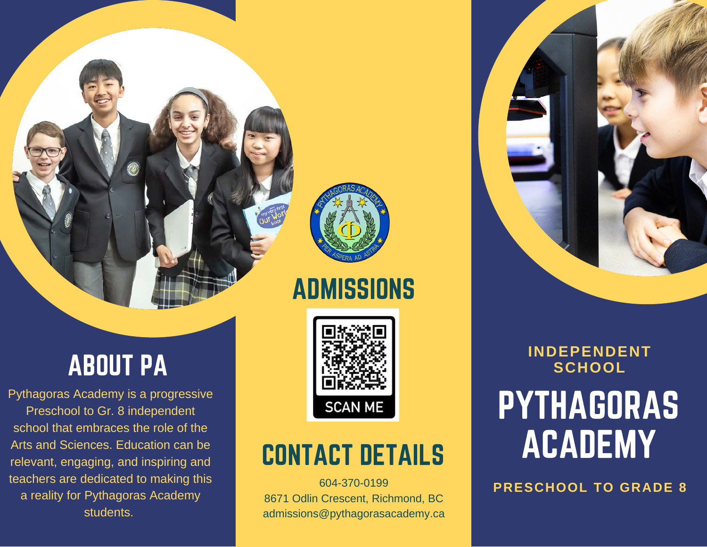

### **ADMISSIONS**

## ABOUT PA

Pythagoras Academy is a progressive Preschool to Gr. 8 independent school that embraces the role of the Arts and Sciences. Education can be relevant, engaging, and inspiring and teachers are dedicated to making this a reality for Pythagoras Academy students.



### CONTACT DETAILS

604-370-0199 8671 Odlin Crescent, Richmond, BC admissions@pythagorasacademy.ca PYTHAGORAS ACADEMY **INDEPENDENT SCHOOL**

**PRESCHOOL TO GRADE 8**